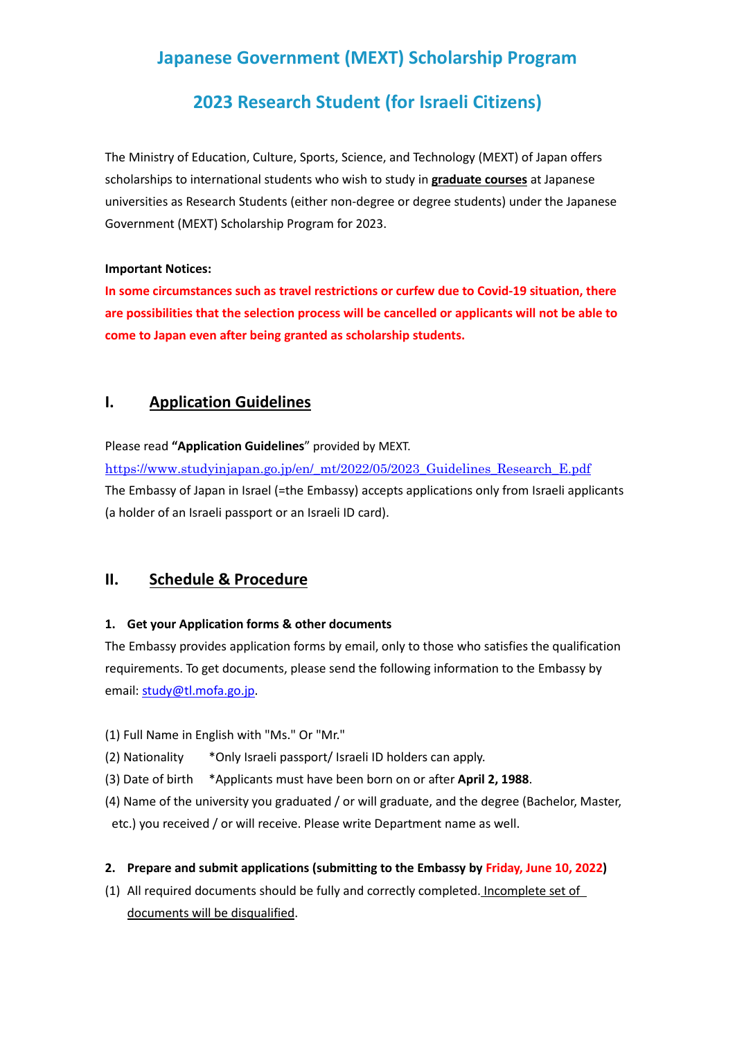# **Japanese Government (MEXT) Scholarship Program**

# **2023 Research Student (for Israeli Citizens)**

The Ministry of Education, Culture, Sports, Science, and Technology (MEXT) of Japan offers scholarships to international students who wish to study in **graduate courses** at Japanese universities as Research Students (either non-degree or degree students) under the Japanese Government (MEXT) Scholarship Program for 2023.

#### **Important Notices:**

**In some circumstances such as travel restrictions or curfew due to Covid-19 situation, there are possibilities that the selection process will be cancelled or applicants will not be able to come to Japan even after being granted as scholarship students.**

# **I. Application Guidelines**

Please read **"Application Guidelines**" provided by MEXT.

https://www.studyinjapan.go.jp/en/\_mt/2022/05/2023\_Guidelines\_Research\_E.pdf The Embassy of Japan in Israel (=the Embassy) accepts applications only from Israeli applicants (a holder of an Israeli passport or an Israeli ID card).

## **II. Schedule & Procedure**

## **1. Get your Application forms & other documents**

The Embassy provides application forms by email, only to those who satisfies the qualification requirements. To get documents, please send the following information to the Embassy by email: study@tl.mofa.go.jp.

- (1) Full Name in English with "Ms." Or "Mr."
- (2) Nationality \*Only Israeli passport/ Israeli ID holders can apply.
- (3) Date of birth \*Applicants must have been born on or after **April 2, 1988**.
- (4) Name of the university you graduated / or will graduate, and the degree (Bachelor, Master, etc.) you received / or will receive. Please write Department name as well.

## **2. Prepare and submit applications (submitting to the Embassy by Friday, June 10, 2022)**

(1) All required documents should be fully and correctly completed. Incomplete set of documents will be disqualified.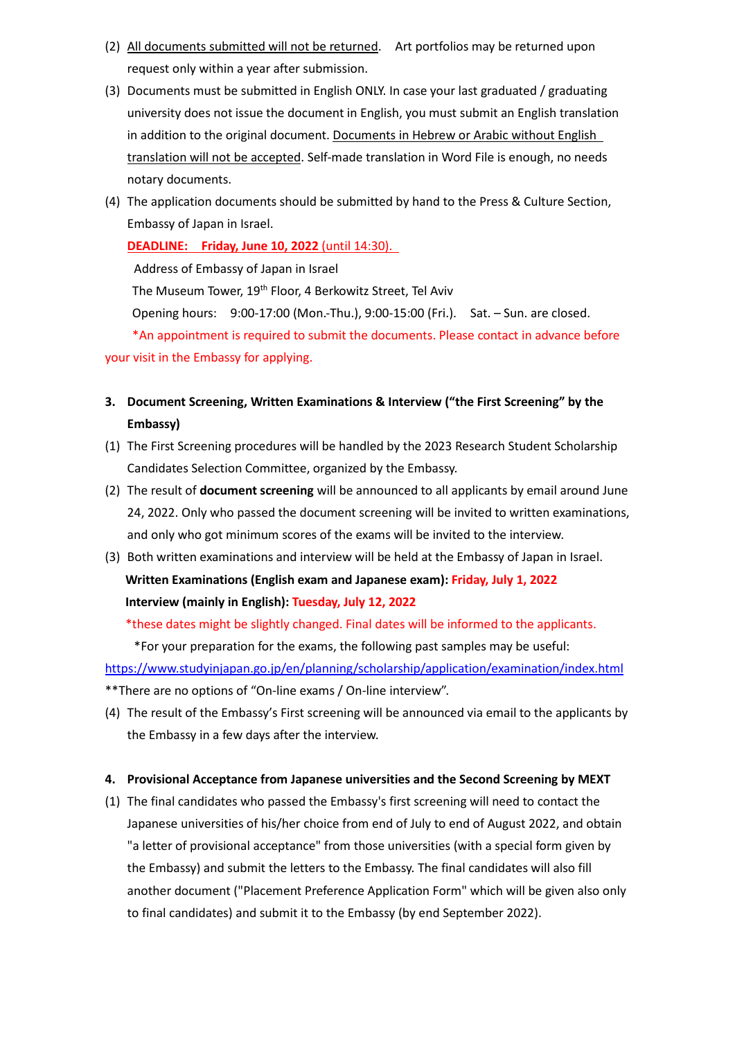- (2) All documents submitted will not be returned. Art portfolios may be returned upon request only within a year after submission.
- (3) Documents must be submitted in English ONLY. In case your last graduated / graduating university does not issue the document in English, you must submit an English translation in addition to the original document. Documents in Hebrew or Arabic without English translation will not be accepted. Self-made translation in Word File is enough, no needs notary documents.
- (4) The application documents should be submitted by hand to the Press & Culture Section, Embassy of Japan in Israel.

**DEADLINE: Friday, June 10, 2022** (until 14:30). Address of Embassy of Japan in Israel The Museum Tower, 19<sup>th</sup> Floor, 4 Berkowitz Street, Tel Aviv Opening hours: 9:00-17:00 (Mon.-Thu.), 9:00-15:00 (Fri.). Sat. – Sun. are closed. \*An appointment is required to submit the documents. Please contact in advance before your visit in the Embassy for applying.

- **3. Document Screening, Written Examinations & Interview ("the First Screening" by the Embassy)**
- (1) The First Screening procedures will be handled by the 2023 Research Student Scholarship Candidates Selection Committee, organized by the Embassy.
- (2) The result of **document screening** will be announced to all applicants by email around June 24, 2022. Only who passed the document screening will be invited to written examinations, and only who got minimum scores of the exams will be invited to the interview.
- (3) Both written examinations and interview will be held at the Embassy of Japan in Israel. **Written Examinations (English exam and Japanese exam): Friday, July 1, 2022 Interview (mainly in English): Tuesday, July 12, 2022**

\*these dates might be slightly changed. Final dates will be informed to the applicants.

\*For your preparation for the exams, the following past samples may be useful:

https://www.studyinjapan.go.jp/en/planning/scholarship/application/examination/index.html \*\*There are no options of "On-line exams / On-line interview".

(4) The result of the Embassy's First screening will be announced via email to the applicants by the Embassy in a few days after the interview.

#### **4. Provisional Acceptance from Japanese universities and the Second Screening by MEXT**

(1) The final candidates who passed the Embassy's first screening will need to contact the Japanese universities of his/her choice from end of July to end of August 2022, and obtain "a letter of provisional acceptance" from those universities (with a special form given by the Embassy) and submit the letters to the Embassy. The final candidates will also fill another document ("Placement Preference Application Form" which will be given also only to final candidates) and submit it to the Embassy (by end September 2022).